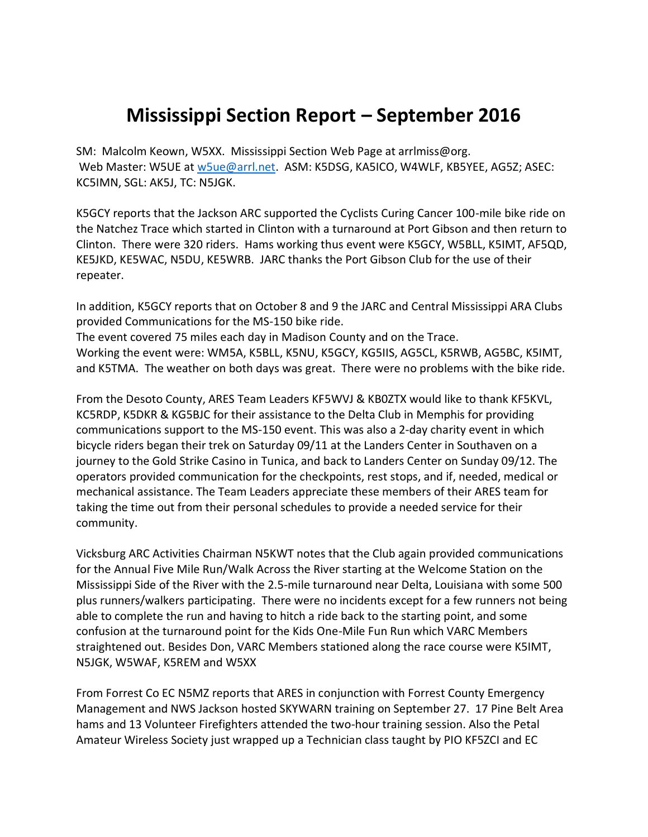## **Mississippi Section Report – September 2016**

SM: Malcolm Keown, W5XX. Mississippi Section Web Page at arrlmiss@org. Web Master: W5UE at [w5ue@arrl.net.](mailto:w5ue@arrl.net) ASM: K5DSG, KA5ICO, W4WLF, KB5YEE, AG5Z; ASEC: KC5IMN, SGL: AK5J, TC: N5JGK.

K5GCY reports that the Jackson ARC supported the Cyclists Curing Cancer 100-mile bike ride on the Natchez Trace which started in Clinton with a turnaround at Port Gibson and then return to Clinton. There were 320 riders. Hams working thus event were K5GCY, W5BLL, K5IMT, AF5QD, KE5JKD, KE5WAC, N5DU, KE5WRB. JARC thanks the Port Gibson Club for the use of their repeater.

In addition, K5GCY reports that on October 8 and 9 the JARC and Central Mississippi ARA Clubs provided Communications for the MS-150 bike ride.

The event covered 75 miles each day in Madison County and on the Trace. Working the event were: WM5A, K5BLL, K5NU, K5GCY, KG5IIS, AG5CL, K5RWB, AG5BC, K5IMT, and K5TMA. The weather on both days was great. There were no problems with the bike ride.

From the Desoto County, ARES Team Leaders KF5WVJ & KB0ZTX would like to thank KF5KVL, KC5RDP, K5DKR & KG5BJC for their assistance to the Delta Club in Memphis for providing communications support to the MS-150 event. This was also a 2-day charity event in which bicycle riders began their trek on Saturday 09/11 at the Landers Center in Southaven on a journey to the Gold Strike Casino in Tunica, and back to Landers Center on Sunday 09/12. The operators provided communication for the checkpoints, rest stops, and if, needed, medical or mechanical assistance. The Team Leaders appreciate these members of their ARES team for taking the time out from their personal schedules to provide a needed service for their community.

Vicksburg ARC Activities Chairman N5KWT notes that the Club again provided communications for the Annual Five Mile Run/Walk Across the River starting at the Welcome Station on the Mississippi Side of the River with the 2.5-mile turnaround near Delta, Louisiana with some 500 plus runners/walkers participating. There were no incidents except for a few runners not being able to complete the run and having to hitch a ride back to the starting point, and some confusion at the turnaround point for the Kids One-Mile Fun Run which VARC Members straightened out. Besides Don, VARC Members stationed along the race course were K5IMT, N5JGK, W5WAF, K5REM and W5XX

From Forrest Co EC N5MZ reports that ARES in conjunction with Forrest County Emergency Management and NWS Jackson hosted SKYWARN training on September 27. 17 Pine Belt Area hams and 13 Volunteer Firefighters attended the two-hour training session. Also the Petal Amateur Wireless Society just wrapped up a Technician class taught by PIO KF5ZCI and EC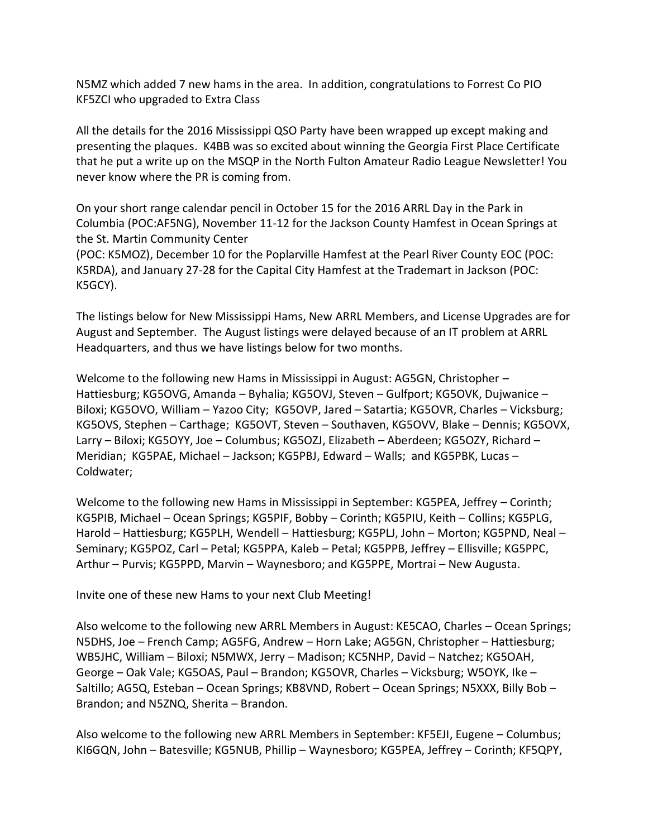N5MZ which added 7 new hams in the area. In addition, congratulations to Forrest Co PIO KF5ZCI who upgraded to Extra Class

All the details for the 2016 Mississippi QSO Party have been wrapped up except making and presenting the plaques. K4BB was so excited about winning the Georgia First Place Certificate that he put a write up on the MSQP in the North Fulton Amateur Radio League Newsletter! You never know where the PR is coming from.

On your short range calendar pencil in October 15 for the 2016 ARRL Day in the Park in Columbia (POC:AF5NG), November 11-12 for the Jackson County Hamfest in Ocean Springs at the St. Martin Community Center

(POC: K5MOZ), December 10 for the Poplarville Hamfest at the Pearl River County EOC (POC: K5RDA), and January 27-28 for the Capital City Hamfest at the Trademart in Jackson (POC: K5GCY).

The listings below for New Mississippi Hams, New ARRL Members, and License Upgrades are for August and September. The August listings were delayed because of an IT problem at ARRL Headquarters, and thus we have listings below for two months.

Welcome to the following new Hams in Mississippi in August: AG5GN, Christopher – Hattiesburg; KG5OVG, Amanda – Byhalia; KG5OVJ, Steven – Gulfport; KG5OVK, Dujwanice – Biloxi; KG5OVO, William – Yazoo City; KG5OVP, Jared – Satartia; KG5OVR, Charles – Vicksburg; KG5OVS, Stephen – Carthage; KG5OVT, Steven – Southaven, KG5OVV, Blake – Dennis; KG5OVX, Larry – Biloxi; KG5OYY, Joe – Columbus; KG5OZJ, Elizabeth – Aberdeen; KG5OZY, Richard – Meridian; KG5PAE, Michael – Jackson; KG5PBJ, Edward – Walls; and KG5PBK, Lucas – Coldwater;

Welcome to the following new Hams in Mississippi in September: KG5PEA, Jeffrey – Corinth; KG5PIB, Michael – Ocean Springs; KG5PIF, Bobby – Corinth; KG5PIU, Keith – Collins; KG5PLG, Harold – Hattiesburg; KG5PLH, Wendell – Hattiesburg; KG5PLJ, John – Morton; KG5PND, Neal – Seminary; KG5POZ, Carl – Petal; KG5PPA, Kaleb – Petal; KG5PPB, Jeffrey – Ellisville; KG5PPC, Arthur – Purvis; KG5PPD, Marvin – Waynesboro; and KG5PPE, Mortrai – New Augusta.

Invite one of these new Hams to your next Club Meeting!

Also welcome to the following new ARRL Members in August: KE5CAO, Charles – Ocean Springs; N5DHS, Joe – French Camp; AG5FG, Andrew – Horn Lake; AG5GN, Christopher – Hattiesburg; WB5JHC, William – Biloxi; N5MWX, Jerry – Madison; KC5NHP, David – Natchez; KG5OAH, George – Oak Vale; KG5OAS, Paul – Brandon; KG5OVR, Charles – Vicksburg; W5OYK, Ike – Saltillo; AG5Q, Esteban – Ocean Springs; KB8VND, Robert – Ocean Springs; N5XXX, Billy Bob – Brandon; and N5ZNQ, Sherita – Brandon.

Also welcome to the following new ARRL Members in September: KF5EJI, Eugene – Columbus; KI6GQN, John – Batesville; KG5NUB, Phillip – Waynesboro; KG5PEA, Jeffrey – Corinth; KF5QPY,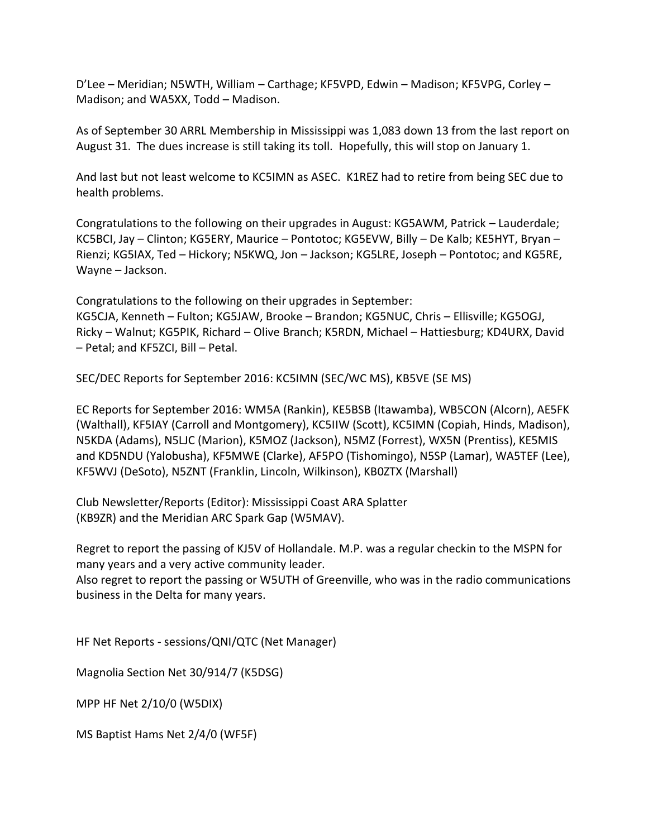D'Lee – Meridian; N5WTH, William – Carthage; KF5VPD, Edwin – Madison; KF5VPG, Corley – Madison; and WA5XX, Todd – Madison.

As of September 30 ARRL Membership in Mississippi was 1,083 down 13 from the last report on August 31. The dues increase is still taking its toll. Hopefully, this will stop on January 1.

And last but not least welcome to KC5IMN as ASEC. K1REZ had to retire from being SEC due to health problems.

Congratulations to the following on their upgrades in August: KG5AWM, Patrick – Lauderdale; KC5BCI, Jay – Clinton; KG5ERY, Maurice – Pontotoc; KG5EVW, Billy – De Kalb; KE5HYT, Bryan – Rienzi; KG5IAX, Ted – Hickory; N5KWQ, Jon – Jackson; KG5LRE, Joseph – Pontotoc; and KG5RE, Wayne – Jackson.

Congratulations to the following on their upgrades in September: KG5CJA, Kenneth – Fulton; KG5JAW, Brooke – Brandon; KG5NUC, Chris – Ellisville; KG5OGJ, Ricky – Walnut; KG5PIK, Richard – Olive Branch; K5RDN, Michael – Hattiesburg; KD4URX, David – Petal; and KF5ZCI, Bill – Petal.

SEC/DEC Reports for September 2016: KC5IMN (SEC/WC MS), KB5VE (SE MS)

EC Reports for September 2016: WM5A (Rankin), KE5BSB (Itawamba), WB5CON (Alcorn), AE5FK (Walthall), KF5IAY (Carroll and Montgomery), KC5IIW (Scott), KC5IMN (Copiah, Hinds, Madison), N5KDA (Adams), N5LJC (Marion), K5MOZ (Jackson), N5MZ (Forrest), WX5N (Prentiss), KE5MIS and KD5NDU (Yalobusha), KF5MWE (Clarke), AF5PO (Tishomingo), N5SP (Lamar), WA5TEF (Lee), KF5WVJ (DeSoto), N5ZNT (Franklin, Lincoln, Wilkinson), KB0ZTX (Marshall)

Club Newsletter/Reports (Editor): Mississippi Coast ARA Splatter (KB9ZR) and the Meridian ARC Spark Gap (W5MAV).

Regret to report the passing of KJ5V of Hollandale. M.P. was a regular checkin to the MSPN for many years and a very active community leader.

Also regret to report the passing or W5UTH of Greenville, who was in the radio communications business in the Delta for many years.

HF Net Reports - sessions/QNI/QTC (Net Manager)

Magnolia Section Net 30/914/7 (K5DSG)

MPP HF Net 2/10/0 (W5DIX)

MS Baptist Hams Net 2/4/0 (WF5F)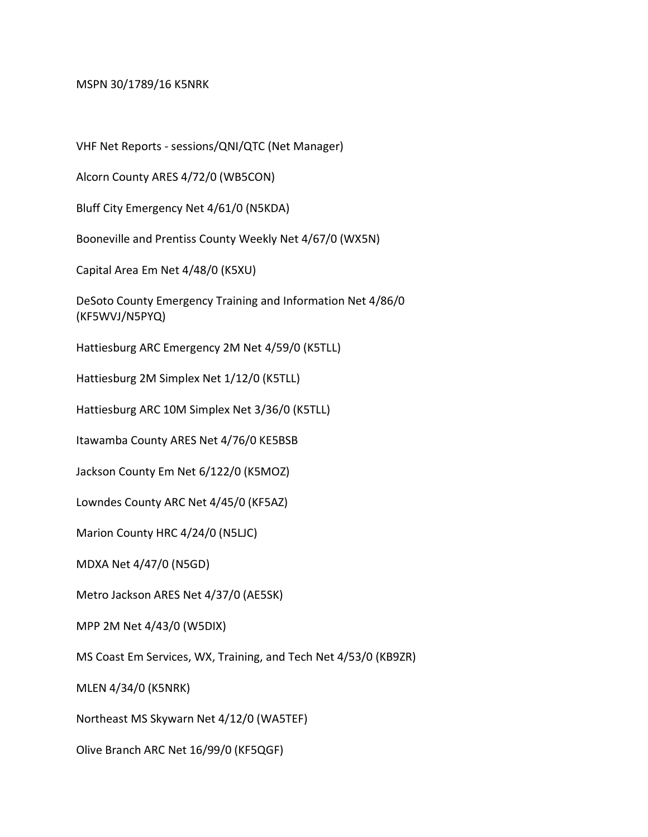MSPN 30/1789/16 K5NRK

VHF Net Reports - sessions/QNI/QTC (Net Manager)

Alcorn County ARES 4/72/0 (WB5CON)

Bluff City Emergency Net 4/61/0 (N5KDA)

Booneville and Prentiss County Weekly Net 4/67/0 (WX5N)

Capital Area Em Net 4/48/0 (K5XU)

DeSoto County Emergency Training and Information Net 4/86/0 (KF5WVJ/N5PYQ)

Hattiesburg ARC Emergency 2M Net 4/59/0 (K5TLL)

Hattiesburg 2M Simplex Net 1/12/0 (K5TLL)

Hattiesburg ARC 10M Simplex Net 3/36/0 (K5TLL)

Itawamba County ARES Net 4/76/0 KE5BSB

Jackson County Em Net 6/122/0 (K5MOZ)

Lowndes County ARC Net 4/45/0 (KF5AZ)

Marion County HRC 4/24/0 (N5LJC)

MDXA Net 4/47/0 (N5GD)

Metro Jackson ARES Net 4/37/0 (AE5SK)

MPP 2M Net 4/43/0 (W5DIX)

MS Coast Em Services, WX, Training, and Tech Net 4/53/0 (KB9ZR)

MLEN 4/34/0 (K5NRK)

Northeast MS Skywarn Net 4/12/0 (WA5TEF)

Olive Branch ARC Net 16/99/0 (KF5QGF)